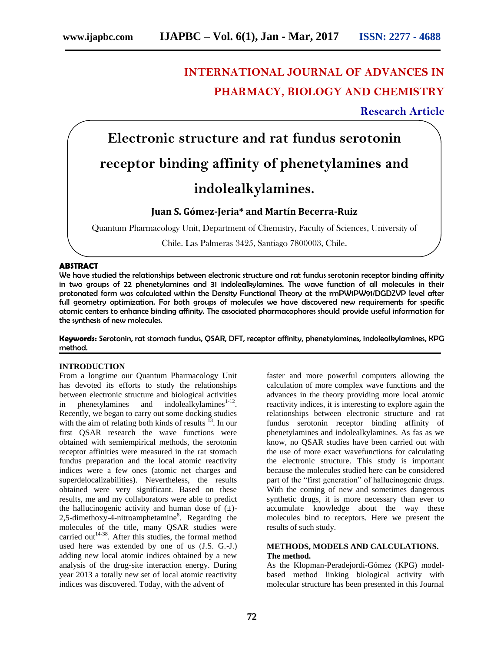# **INTERNATIONAL JOURNAL OF ADVANCES IN PHARMACY, BIOLOGY AND CHEMISTRY**

### **Research Article**

# **Electronic structure and rat fundus serotonin receptor binding affinity of phenetylamines and indolealkylamines.**

## **Juan S. Gómez-Jeria\* and Martín Becerra-Ruiz**

Quantum Pharmacology Unit, Department of Chemistry, Faculty of Sciences, University of

Chile. Las Palmeras 3425, Santiago 7800003, Chile.

#### **ABSTRACT**

We have studied the relationships between electronic structure and rat fundus serotonin receptor binding affinity in two groups of 22 phenetylamines and 31 indolealkylamines. The wave function of all molecules in their protonated form was calculated within the Density Functional Theory at the rmPW1PW91/DGDZVP level after full geometry optimization. For both groups of molecules we have discovered new requirements for specific atomic centers to enhance binding affinity. The associated pharmacophores should provide useful information for the synthesis of new molecules.

**Keywords:** Serotonin, rat stomach fundus, QSAR, DFT, receptor affinity, phenetylamines, indolealkylamines, KPG method.

#### **INTRODUCTION**

From a longtime our Quantum Pharmacology Unit has devoted its efforts to study the relationships between electronic structure and biological activities in phenetylamines and indolealkylamines $1-12$ . Recently, we began to carry out some docking studies with the aim of relating both kinds of results  $^{13}$ . In our first QSAR research the wave functions were obtained with semiempirical methods, the serotonin receptor affinities were measured in the rat stomach fundus preparation and the local atomic reactivity indices were a few ones (atomic net charges and superdelocalizabilities). Nevertheless, the results obtained were very significant. Based on these results, me and my collaborators were able to predict the hallucinogenic activity and human dose of  $(\pm)$ -2,5-dimethoxy-4-nitroamphetamine<sup>8</sup>. Regarding the molecules of the title, many QSAR studies were carried out<sup>14-38</sup>. After this studies, the formal method used here was extended by one of us (J.S. G.-J.) adding new local atomic indices obtained by a new analysis of the drug-site interaction energy. During year 2013 a totally new set of local atomic reactivity indices was discovered. Today, with the advent of

faster and more powerful computers allowing the calculation of more complex wave functions and the advances in the theory providing more local atomic reactivity indices, it is interesting to explore again the relationships between electronic structure and rat fundus serotonin receptor binding affinity of phenetylamines and indolealkylamines. As fas as we know, no QSAR studies have been carried out with the use of more exact wavefunctions for calculating the electronic structure. This study is important because the molecules studied here can be considered part of the "first generation" of hallucinogenic drugs. With the coming of new and sometimes dangerous synthetic drugs, it is more necessary than ever to accumulate knowledge about the way these molecules bind to receptors. Here we present the results of such study.

#### **METHODS, MODELS AND CALCULATIONS. The method.**

As the Klopman-Peradejordi-Gómez (KPG) modelbased method linking biological activity with molecular structure has been presented in this Journal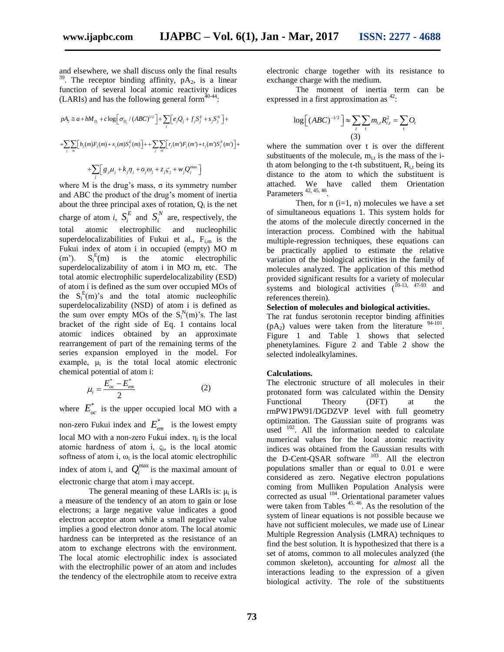and elsewhere, we shall discuss only the final results <sup>39</sup>. The receptor binding affinity,  $pA_2$ , is a linear function of several local atomic reactivity indices

(LARIs) and has the following general form<sup>40-44</sup>:  
\n
$$
pA_2 \approx a + bM_{D_i} + c \log \left[\sigma_{D_i} / (ABC)^{1/2}\right] + \sum_j \left[e_j Q_j + f_j S_j^E + s_j S_j^N\right] +
$$
\n
$$
+ \sum_j \sum_m \left[h_j(m)F_j(m) + x_j(m)S_j^E(m)\right] + \sum_j \sum_m \left[r_j(m)F_j(m) + t_j(m)S_j^N(m)\right] +
$$
\n
$$
+ \sum_j \left[g_j \mu_j + k_j \eta_j + o_j \omega_j + z_j S_j + w_j Q_j^{\max}\right]
$$

where M is the drug's mass,  $\sigma$  its symmetry number and ABC the product of the drug's moment of inertia about the three principal axes of rotation,  $Q_i$  is the net charge of atom *i*,  $S_i^E$  $S_i^E$  and  $S_i^N$  $S_i^N$  are, respectively, the total atomic electrophilic and nucleophilic superdelocalizabilities of Fukui et al.,  $F_{i,m}$  is the Fukui index of atom i in occupied (empty) MO m  $(m^{\prime})$ .  $E(m)$  is the atomic electrophilic superdelocalizability of atom i in MO m, etc. The total atomic electrophilic superdelocalizability (ESD) of atom i is defined as the sum over occupied MOs of the  $S_i^{E}(m)$ 's and the total atomic nucleophilic superdelocalizability (NSD) of atom i is defined as the sum over empty MOs of the  $S_i^N(m)$ 's. The last bracket of the right side of Eq. 1 contains local atomic indices obtained by an approximate rearrangement of part of the remaining terms of the series expansion employed in the model. For example,  $\mu_i$  is the total local atomic electronic chemical potential of atom i:

$$
\mu_i = \frac{E_{oc}^* - E_{em}^*}{2}
$$
 (2)

where  $E_{oc}^*$  is the upper occupied local MO with a non-zero Fukui index and  $E_{em}^*$  is the lowest empty local MO with a non-zero Fukui index.  $\eta_i$  is the local atomic hardness of atom i,  $\zeta_i$ , is the local atomic softness of atom i,  $\omega_i$  is the local atomic electrophilic index of atom i, and  $Q_i^{\max}$  is the maximal amount of electronic charge that atom i may accept.

The general meaning of these LARIs is:  $\mu_i$  is a measure of the tendency of an atom to gain or lose electrons; a large negative value indicates a good electron acceptor atom while a small negative value implies a good electron donor atom. The local atomic hardness can be interpreted as the resistance of an atom to exchange electrons with the environment. The local atomic electrophilic index is associated with the electrophilic power of an atom and includes the tendency of the electrophile atom to receive extra

electronic charge together with its resistance to exchange charge with the medium.

The moment of inertia term can be

expressed in a first approximation as <sup>42</sup>:  
\n
$$
\log \left[ (ABC)^{-1/2} \right] \approx \sum_{i} \sum_{i} m_{i,i} R_{i,i}^{2} = \sum_{i} O_{i}
$$
\n(3)

where the summation over t is over the different substituents of the molecule,  $m_{i,t}$  is the mass of the ith atom belonging to the t-th substituent,  $R<sub>i,t</sub>$  being its distance to the atom to which the substituent is attached. We have called them Orientation Parameters  $42, 45, 46$ .

Then, for  $n$  (i=1,  $n$ ) molecules we have a set of simultaneous equations 1. This system holds for the atoms of the molecule directly concerned in the interaction process. Combined with the habitual multiple-regression techniques, these equations can be practically applied to estimate the relative variation of the biological activities in the family of molecules analyzed. The application of this method provided significant results for a variety of molecular systems and biological activities  $(10-13, 47-93)$  and references therein).

#### **Selection of molecules and biological activities.**

The rat fundus serotonin receptor binding affinities  $(pA_2)$  values were taken from the literature  $94-101$ . Figure 1 and Table 1 shows that selected phenetylamines. Figure 2 and Table 2 show the selected indolealkylamines.

#### **Calculations.**

The electronic structure of all molecules in their protonated form was calculated within the Density Functional Theory (DFT) at the rmPW1PW91/DGDZVP level with full geometry optimization. The Gaussian suite of programs was used  $102$ . All the information needed to calculate numerical values for the local atomic reactivity indices was obtained from the Gaussian results with the D-Cent-QSAR software  $103$ . All the electron populations smaller than or equal to 0.01 e were considered as zero. Negative electron populations coming from Mulliken Population Analysis were corrected as usual <sup>104</sup>. Orientational parameter values were taken from Tables  $45, 46$ . As the resolution of the system of linear equations is not possible because we have not sufficient molecules, we made use of Linear Multiple Regression Analysis (LMRA) techniques to find the best solution. It is hypothesized that there is a set of atoms, common to all molecules analyzed (the common skeleton), accounting for *almost* all the interactions leading to the expression of a given biological activity. The role of the substituents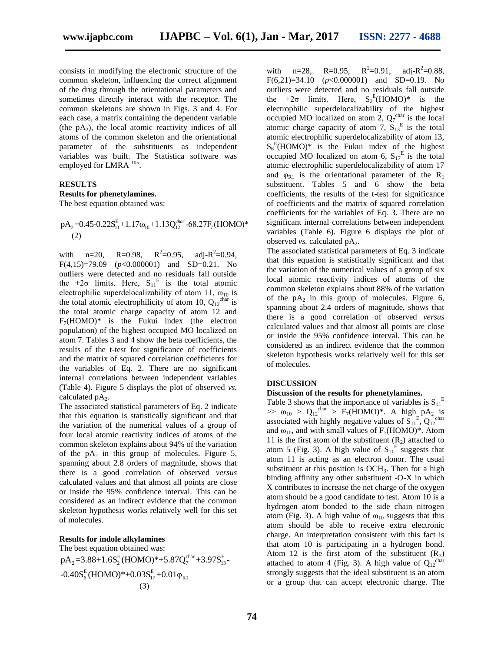consists in modifying the electronic structure of the common skeleton, influencing the correct alignment of the drug through the orientational parameters and sometimes directly interact with the receptor. The common skeletons are shown in Figs. 3 and 4. For each case, a matrix containing the dependent variable (the  $pA_2$ ), the local atomic reactivity indices of all atoms of the common skeleton and the orientational parameter of the substituents as independent variables was built. The Statistica software was employed for LMRA  $^{105}$ .

#### **RESULTS**

#### **Results for phenetylamines.**

The best equation obtained was:  
\n
$$
pA_2=0.45-0.22S_{11}^{E}+1.17\omega_{10}+1.13Q_{12}^{char}-68.27F_7(HOMO)*
$$
\n(2)

with  $n=20$ ,  $R=0.98$ ,  $R^2=0.95$ , adj- $R^2=0.94$ , F(4,15)=79.09 (*p*<0.000001) and SD=0.21. No outliers were detected and no residuals fall outside the  $\pm 2\sigma$  limits. Here,  $S_{11}^E$  is the total atomic electrophilic superdelocalizability of atom 11,  $\omega_{10}$  is the total atomic electrophilicity of atom 10,  $Q_{12}^{\text{char}}$  is the total atomic charge capacity of atom 12 and  $F_7(HOMO)^*$  is the Fukui index (the electron population) of the highest occupied MO localized on atom 7. Tables 3 and 4 show the beta coefficients, the results of the t-test for significance of coefficients and the matrix of squared correlation coefficients for the variables of Eq. 2. There are no significant internal correlations between independent variables (Table 4). Figure 5 displays the plot of observed *vs.* calculated  $pA_2$ .

The associated statistical parameters of Eq. 2 indicate that this equation is statistically significant and that the variation of the numerical values of a group of four local atomic reactivity indices of atoms of the common skeleton explains about 94% of the variation of the  $pA_2$  in this group of molecules. Figure 5, spanning about 2.8 orders of magnitude, shows that there is a good correlation of observed *versus* calculated values and that almost all points are close or inside the 95% confidence interval. This can be considered as an indirect evidence that the common skeleton hypothesis works relatively well for this set of molecules.

#### **Results for indole alkylamines**

The best equation obtained was: The best equation obtained was:<br>  $pA_2 = 3.88 + 1.6S_2^E (HOMO)^* + 5.87Q_7^{\text{char}} + 3.97S_{13}^E$ pA<sub>2</sub>=3.88+1.6S<sup>E</sup>(HOMO)\*+5.87Q<sup>e</sup><br>-0.40S<sup>E</sup>(HOMO)\*+0.03S<sup>E</sup><sub>17</sub>+0.01<sub>QR1</sub> (3)

with  $n=28$ ,  $R=0.95$ ,  $R^2 = 0.91$ ,  $\approx 2$  = 0.88,  $F(6,21)=34.10$   $(p<0.000001)$  and SD=0.19. No outliers were detected and no residuals fall outside the  $\pm 2\sigma$  limits. Here,  $S_2^E(HOMO)^*$  is the electrophilic superdelocalizability of the highest occupied MO localized on atom 2,  $Q_7^{\text{char}}$  is the local atomic charge capacity of atom 7,  $S_{13}^E$  is the total atomic electrophilic superdelocalizability of atom 13,  $S_6^E$ (HOMO)\* is the Fukui index of the highest occupied MO localized on atom 6,  $S_{17}^E$  is the total atomic electrophilic superdelocalizability of atom 17 and  $\varphi_{R1}$  is the orientational parameter of the R<sub>1</sub> substituent. Tables 5 and 6 show the beta coefficients, the results of the t-test for significance of coefficients and the matrix of squared correlation coefficients for the variables of Eq. 3. There are no significant internal correlations between independent variables (Table 6). Figure 6 displays the plot of observed *vs.* calculated pA<sub>2</sub>.

The associated statistical parameters of Eq. 3 indicate that this equation is statistically significant and that the variation of the numerical values of a group of six local atomic reactivity indices of atoms of the common skeleton explains about 88% of the variation of the  $pA_2$  in this group of molecules. Figure 6, spanning about 2.4 orders of magnitude, shows that there is a good correlation of observed *versus* calculated values and that almost all points are close or inside the 95% confidence interval. This can be considered as an indirect evidence that the common skeleton hypothesis works relatively well for this set of molecules.

#### **DISCUSSION**

#### **Discussion of the results for phenetylamines.**

Table 3 shows that the importance of variables is  $S_{11}^E$  $\gg$   $\omega_{10}$  >  $Q_{12}$ <sup>char</sup> > F<sub>7</sub>(HOMO)<sup>\*</sup>. A high pA<sub>2</sub> is associated with highly negative values of  $S_{11}^E$ ,  $Q_{12}^{\text{char}}$ and  $\omega_{10}$ , and with small values of F<sub>7</sub>(HOMO)<sup>\*</sup>. Atom 11 is the first atom of the substituent  $(R_2)$  attached to atom 5 (Fig. 3). A high value of  $S_{11}^E$  suggests that atom 11 is acting as an electron donor. The usual substituent at this position is  $OCH<sub>3</sub>$ . Then for a high binding affinity any other substituent -O-X in which X contributes to increase the net charge of the oxygen atom should be a good candidate to test. Atom 10 is a hydrogen atom bonded to the side chain nitrogen atom (Fig. 3). A high value of  $\omega_{10}$  suggests that this atom should be able to receive extra electronic charge. An interpretation consistent with this fact is that atom 10 is participating in a hydrogen bond. Atom 12 is the first atom of the substituent  $(R_3)$ attached to atom 4 (Fig. 3). A high value of  $Q_{12}^{char}$ strongly suggests that the ideal substituent is an atom or a group that can accept electronic charge. The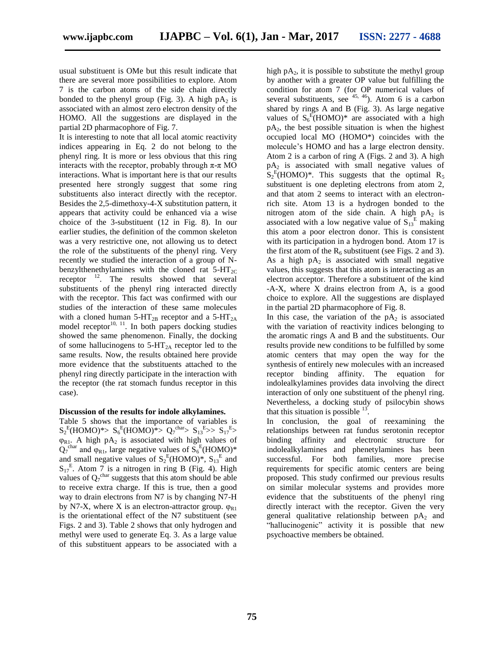usual substituent is OMe but this result indicate that there are several more possibilities to explore. Atom 7 is the carbon atoms of the side chain directly bonded to the phenyl group (Fig. 3). A high  $pA_2$  is associated with an almost zero electron density of the HOMO. All the suggestions are displayed in the partial 2D pharmacophore of Fig. 7.

It is interesting to note that all local atomic reactivity indices appearing in Eq. 2 do not belong to the phenyl ring. It is more or less obvious that this ring interacts with the receptor, probably through  $\pi$ -π MO interactions. What is important here is that our results presented here strongly suggest that some ring substituents also interact directly with the receptor. Besides the 2,5-dimethoxy-4-X substitution pattern, it appears that activity could be enhanced via a wise choice of the 3-substituent (12 in Fig. 8). In our earlier studies, the definition of the common skeleton was a very restrictive one, not allowing us to detect the role of the substituents of the phenyl ring. Very recently we studied the interaction of a group of Nbenzylthenethylamines with the cloned rat  $5-HT_{2C}$ receptor  $^{12}$ . The results showed that several substituents of the phenyl ring interacted directly with the receptor. This fact was confirmed with our studies of the interaction of these same molecules with a cloned human  $5-HT_{2B}$  receptor and a  $5-HT_{2A}$ model receptor<sup>10, 11</sup>. In both papers docking studies showed the same phenomenon. Finally, the docking of some hallucinogens to  $5-\text{HT}_{2A}$  receptor led to the same results. Now, the results obtained here provide more evidence that the substituents attached to the phenyl ring directly participate in the interaction with the receptor (the rat stomach fundus receptor in this case).

#### **Discussion of the results for indole alkylamines.**

Table 5 shows that the importance of variables is  $S_2^E(HOMO)^* > S_6^E(HOMO)^* > Q_7^{\text{char}} > S_{13}^E >> S_{17}^E >$  $\varphi_{R1}$ . A high pA<sub>2</sub> is associated with high values of  $Q_7^{\text{char}}$  and  $\varphi_{R1}$ , large negative values of  $S_6^{\text{E}}(\text{HOMO})^*$ and small negative values of  $S_2^E$ (HOMO)\*,  $S_{13}^E$  and  $S_{17}$ <sup>E</sup>. Atom 7 is a nitrogen in ring B (Fig. 4). High values of  $Q_7^{\text{char}}$  suggests that this atom should be able to receive extra charge. If this is true, then a good way to drain electrons from N7 is by changing N7-H by N7-X, where X is an electron-attractor group.  $\varphi_{R1}$ is the orientational effect of the N7 substituent (see Figs. 2 and 3). Table 2 shows that only hydrogen and methyl were used to generate Eq. 3. As a large value of this substituent appears to be associated with a

high  $pA_2$ , it is possible to substitute the methyl group by another with a greater OP value but fulfilling the condition for atom 7 (for OP numerical values of several substituents, see  $45, 46$ ). Atom 6 is a carbon shared by rings A and B (Fig. 3). As large negative values of  $S_6^E(HOMO)^*$  are associated with a high  $pA_2$ , the best possible situation is when the highest occupied local MO (HOMO\*) coincides with the molecule's HOMO and has a large electron density. Atom 2 is a carbon of ring A (Figs. 2 and 3). A high  $pA_2$  is associated with small negative values of  $S_2^E$ (HOMO)\*. This suggests that the optimal R<sub>5</sub> substituent is one depleting electrons from atom 2, and that atom 2 seems to interact with an electronrich site. Atom 13 is a hydrogen bonded to the nitrogen atom of the side chain. A high  $pA_2$  is associated with a low negative value of  $S_{13}^E$  making this atom a poor electron donor. This is consistent with its participation in a hydrogen bond. Atom 17 is the first atom of the  $R_6$  substituent (see Figs. 2 and 3). As a high  $pA_2$  is associated with small negative values, this suggests that this atom is interacting as an electron acceptor. Therefore a substituent of the kind -A-X, where X drains electron from A, is a good choice to explore. All the suggestions are displayed in the partial 2D pharmacophore of Fig. 8.

In this case, the variation of the  $pA_2$  is associated with the variation of reactivity indices belonging to the aromatic rings A and B and the substituents. Our results provide new conditions to be fulfilled by some atomic centers that may open the way for the synthesis of entirely new molecules with an increased receptor binding affinity. The equation for indolealkylamines provides data involving the direct interaction of only one substituent of the phenyl ring. Nevertheless, a docking study of psilocybin shows that this situation is possible  $^{13}$ .

In conclusion, the goal of reexamining the relationships between rat fundus serotonin receptor binding affinity and electronic structure for indolealkylamines and phenetylamines has been successful. For both families, more precise requirements for specific atomic centers are being proposed. This study confirmed our previous results on similar molecular systems and provides more evidence that the substituents of the phenyl ring directly interact with the receptor. Given the very general qualitative relationship between  $pA_2$  and "hallucinogenic" activity it is possible that new psychoactive members be obtained.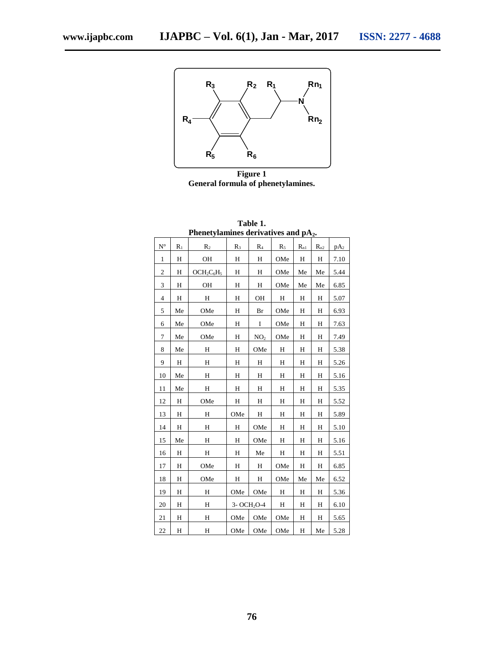

**Figure 1 General formula of phenetylamines.**

|                                                       | N<br>Rn <sub>2</sub><br>$R_4$ |                                                  |     |                         |           |          |          |             |  |  |
|-------------------------------------------------------|-------------------------------|--------------------------------------------------|-----|-------------------------|-----------|----------|----------|-------------|--|--|
|                                                       |                               | $R_5$                                            |     | $R_6$                   |           |          |          |             |  |  |
| <b>Figure 1</b><br>General formula of phenetylamines. |                               |                                                  |     |                         |           |          |          |             |  |  |
|                                                       |                               |                                                  |     |                         |           |          |          |             |  |  |
| Table 1.                                              |                               |                                                  |     |                         |           |          |          |             |  |  |
|                                                       |                               | Phenetylamines derivatives and pA <sub>2</sub> . |     |                         |           |          |          |             |  |  |
| $\mathbf{N}^\circ$                                    | $R_1$                         | R <sub>2</sub>                                   | R3  | $R_4$                   | $R_5$     | $R_{n1}$ | $R_{n2}$ | $pA_2$      |  |  |
| 1                                                     | H                             | OH                                               | Н   | Н                       | OMe       | Η        | Η        | 7.10        |  |  |
| $\overline{\mathbf{c}}$                               | Η                             | $OCH2C6H5$                                       | Η   | Η                       | OMe       | Me       | Me       | 5.44        |  |  |
| 3                                                     | H                             | OH                                               | Н   | H                       | OMe       | Me       | Me       | 6.85        |  |  |
| 4                                                     | Н                             | Н                                                | Н   | OН                      | Н         | Η        | Н        | 5.07        |  |  |
| 5                                                     | Me                            | OMe                                              | Н   | Br                      | OMe       | Н        | Н        | 6.93        |  |  |
| 6                                                     | Me                            | OMe                                              | Н   | I                       | OMe       | Η        | Η        | 7.63        |  |  |
| 7                                                     | Me                            | OMe                                              | Н   | NO <sub>2</sub>         | OMe       | Η        | H        | 7.49        |  |  |
| 8                                                     | Мe                            | Н                                                | Η   | OMe                     | Н         | Η        | Н        | 5.38        |  |  |
| 9                                                     | Η                             | Н                                                | Н   | Η                       | Н         | Η        | Н        | 5.26        |  |  |
| 10                                                    | Me                            | Н                                                | Н   | Η                       | Η         | Η        | Н        | 5.16        |  |  |
| 11                                                    | Me                            | $\, {\rm H}$                                     | Н   | H                       | $H_{\rm}$ | Η        | H        | <u>5.35</u> |  |  |
| 12                                                    | Н                             | OMe                                              | Η   | Η                       | Н         | Η        | Н        | 5.52        |  |  |
| 13                                                    | Н                             | Н                                                | OMe | Η                       | Н         | Н        | Н        | 5.89        |  |  |
| 14                                                    | Η                             | Н                                                | Н   | OMe                     | Η         | Η        | Η        | 5.10        |  |  |
| 15                                                    | Me                            | Н                                                | Н   | OMe                     | Н         | Н        | Н        | 5.16        |  |  |
| 16                                                    | Н                             | Н                                                | Н   | Me                      | Н         | Η        | Н        | 5.51        |  |  |
| 17                                                    | H                             | OMe                                              | H   | Н                       | OMe       | H        | Н        | 6.85        |  |  |
| 18                                                    | Η                             | OMe                                              | Η   | Η                       | OMe       | Me       | Me       | 6.52        |  |  |
| 19                                                    | Η                             | Η                                                | OMe | OMe                     | Н         | Η        | H        | 5.36        |  |  |
| 20                                                    | Н                             | Н                                                |     | 3- OCH <sub>2</sub> O-4 | Н         | Η        | Η        | 6.10        |  |  |
| 21                                                    | Н                             | Н                                                | OMe | OMe                     | OMe       | H        | Η        | 5.65        |  |  |
| 22                                                    | Η                             | Η                                                | OMe | OMe                     | OMe       | H        | Me       | 5.28        |  |  |
|                                                       |                               |                                                  |     |                         |           |          |          |             |  |  |
|                                                       |                               |                                                  |     |                         |           |          |          |             |  |  |
|                                                       |                               |                                                  |     |                         |           |          |          |             |  |  |
|                                                       |                               |                                                  |     |                         |           |          |          |             |  |  |
| 76                                                    |                               |                                                  |     |                         |           |          |          |             |  |  |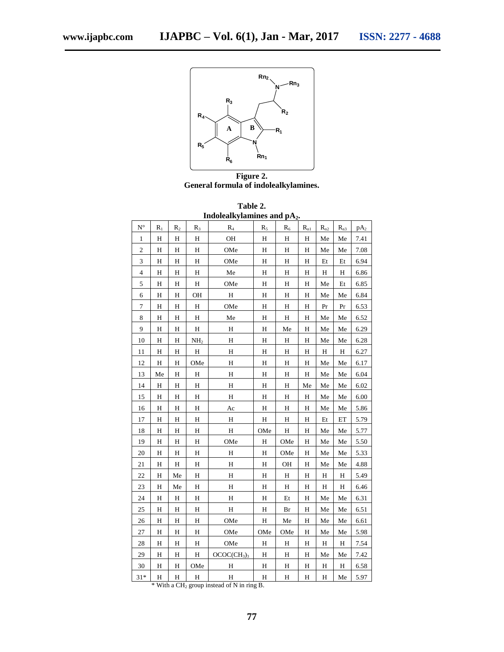

**Figure 2. General formula of indolealkylamines.**

| Table 2.                 |  |
|--------------------------|--|
| Indolealkylamines and nA |  |

| muvitain viammits anu<br>$P^2$ |              |                           |                 |                                     |              |                           |                            |              |              |        |
|--------------------------------|--------------|---------------------------|-----------------|-------------------------------------|--------------|---------------------------|----------------------------|--------------|--------------|--------|
| $N^{\circ}$                    | $\rm R_1$    | R <sub>2</sub>            | $R_3$           | $R_4$                               | $R_5$        | $R_6$                     | $R_{\rm nl}$               | $R_{\rm n2}$ | $R_{n3}$     | $pA_2$ |
| 1                              | H            | H                         | Η               | OH                                  | H            | $\boldsymbol{\mathrm{H}}$ | $\mathbf H$                | Me           | Me           | 7.41   |
| $\overline{c}$                 | H            | H                         | H               | OMe                                 | H            | $\mathbf H$               | $\mathbf H$                | Me           | Me           | 7.08   |
| 3                              | H            | H                         | H               | OMe                                 | H            | $\overline{H}$            | H                          | Et           | Et           | 6.94   |
| 4                              | H            | H                         | Η               | Me                                  | H            | H                         | H                          | Η            | H            | 6.86   |
| 5                              | $\, {\rm H}$ | Η                         | H               | OMe                                 | $\mathbf H$  | $\mathbf H$               | $\mathbf H$                | Me           | Et           | 6.85   |
| 6                              | $\, {\rm H}$ | H                         | OH              | H                                   | H            | $\overline{H}$            | H                          | Me           | Me           | 6.84   |
| $\boldsymbol{7}$               | Н            | H                         | $\, {\rm H}$    | OMe                                 | H            | $\mathbf H$               | H                          | Pr           | Pr           | 6.53   |
| 8                              | $\, {\rm H}$ | H                         | Н               | Me                                  | $\mathbf H$  | $\rm H$                   | $\mathbf H$                | Me           | Me           | 6.52   |
| 9                              | H            | H                         | Η               | H                                   | H            | Me                        | H                          | Me           | Me           | 6.29   |
| 10                             | $\, {\rm H}$ | $\overline{H}$            | NH <sub>2</sub> | Н                                   | H            | $H_{\parallel}$           | H                          | Me           | Me           | 6.28   |
| 11                             | H            | H                         | H               | H                                   | H            | H                         | H                          | $\mathbf H$  | $\, {\rm H}$ | 6.27   |
| 12                             | $\rm H$      | H                         | OMe             | H                                   | H            | Н                         | $H_{\rm}$                  | Me           | Me           | 6.17   |
| 13                             | Me           | H                         | Η               | H                                   | $H_{\rm}$    | H                         | H                          | Me           | Me           | 6.04   |
| 14                             | H            | Η                         | Н               | H                                   | $\, {\rm H}$ | H                         | Me                         | Me           | Me           | 6.02   |
| 15                             | $\rm H$      | $\boldsymbol{\mathrm{H}}$ | Н               | H                                   | $\rm H$      | $\mathbf H$               | $\boldsymbol{\mathrm{H}}%$ | Me           | Me           | 6.00   |
| 16                             | H            | H                         | H               | Ac                                  | $H_{\rm}$    | H                         | H                          | Me           | Me           | 5.86   |
| 17                             | $\, {\rm H}$ | H                         | Η               | $\, {\rm H}$                        | $\, {\rm H}$ | H                         | H                          | Et           | ET           | 5.79   |
| 18                             | $\mathbf H$  | H                         | Н               | $\, {\rm H}$                        | OMe          | $\rm H$                   | $\mathbf H$                | Me           | Me           | 5.77   |
| 19                             | H            | Η                         | Н               | OMe                                 | $\, {\rm H}$ | OMe                       | Η                          | Me           | Me           | 5.50   |
| 20                             | $\mathbf H$  | Η                         | Н               | $\, {\rm H}$                        | H            | OMe                       | H                          | Me           | Me           | 5.33   |
| 21                             | $\mathbf H$  | $\rm H$                   | Н               | Н                                   | $\rm H$      | OH                        | $\mathbf H$                | Me           | Me           | 4.88   |
| 22                             | $\rm H$      | Me                        | Н               | H                                   | $\rm H$      | $\boldsymbol{\mathrm{H}}$ | $\mathbf H$                | $\mathbf H$  | $\, {\rm H}$ | 5.49   |
| 23                             | Н            | Me                        | Η               | Н                                   | H            | H                         | H                          | H            | $\, {\rm H}$ | 6.46   |
| 24                             | $\, {\rm H}$ | H                         | Н               | H                                   | H            | $\mathop{\hbox{\rm Et}}$  | H                          | Me           | Me           | 6.31   |
| 25                             | $\rm H$      | H                         | Н               | H                                   | $\rm H$      | Br                        | H                          | Me           | Me           | 6.51   |
| 26                             | Н            | Η                         | Η               | OMe                                 | $\, {\rm H}$ | Me                        | H                          | Me           | Me           | 6.61   |
| $27\,$                         | $\, {\rm H}$ | H                         | Н               | OMe                                 | OMe          | OMe                       | H                          | Me           | Me           | 5.98   |
| 28                             | $\rm H$      | H                         | Н               | OMe                                 | $\rm H$      | $\boldsymbol{\mathrm{H}}$ | H                          | $\rm H$      | $\rm H$      | 7.54   |
| 29                             | $\, {\rm H}$ | H                         | H               | OCOC(CH <sub>3</sub> ) <sub>3</sub> | $H_{\rm}$    | H                         | H                          | Me           | Me           | 7.42   |
| $30\,$                         | H            | H                         | OMe             | H                                   | H            | $\overline{H}$            | $\overline{H}$             | $\rm H$      | $\, {\rm H}$ | 6.58   |
| $31*$                          | $\, {\rm H}$ | Н                         | H               | $\, {\rm H}$                        | $\mathbf H$  | H                         | H                          | H            | Me           | 5.97   |

 $*$  With a CH<sub>2</sub> group instead of N in ring B.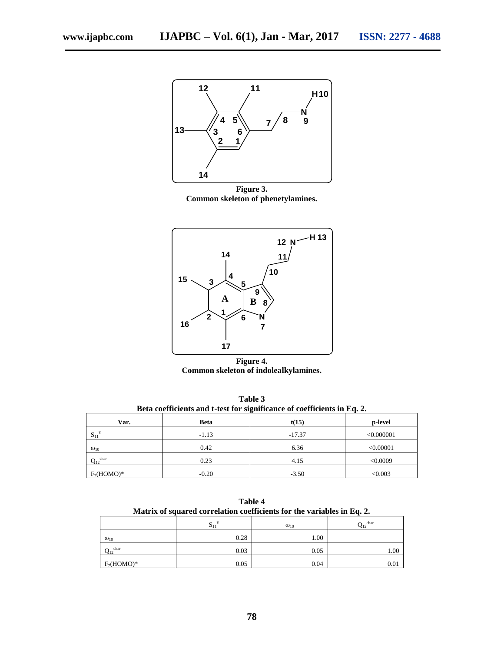

**Figure 3. Common skeleton of phenetylamines.**



**Figure 4. Common skeleton of indolealkylamines.**

| Beta coefficients and t-test for significance of coefficients in Eq. 2. |             |          |            |  |  |  |
|-------------------------------------------------------------------------|-------------|----------|------------|--|--|--|
| Var.                                                                    | <b>Beta</b> | t(15)    | p-level    |  |  |  |
| $S_{11}^E$                                                              | $-1.13$     | $-17.37$ | < 0.000001 |  |  |  |
| $\omega_{10}$                                                           | 0.42        | 6.36     | < 0.00001  |  |  |  |
| char<br>$Q_{12}$                                                        | 0.23        | 4.15     | < 0.0009   |  |  |  |
| $F_7(HOMO)^*$                                                           | $-0.20$     | $-3.50$  | < 0.003    |  |  |  |

**Table 3**

| Table 4<br>Matrix of squared correlation coefficients for the variables in Eq. 2. |      |      |      |  |  |  |  |
|-----------------------------------------------------------------------------------|------|------|------|--|--|--|--|
| $Q_{12}^{\text{char}}$<br>$S_{11}^E$<br>$\omega_{10}$                             |      |      |      |  |  |  |  |
| $\omega_{10}$                                                                     | 0.28 | 1.00 |      |  |  |  |  |
| $Q_{12}^{\text{char}}$                                                            | 0.03 | 0.05 | 1.00 |  |  |  |  |
| $F_7(HOMO)^*$                                                                     | 0.05 | 0.04 | 0.01 |  |  |  |  |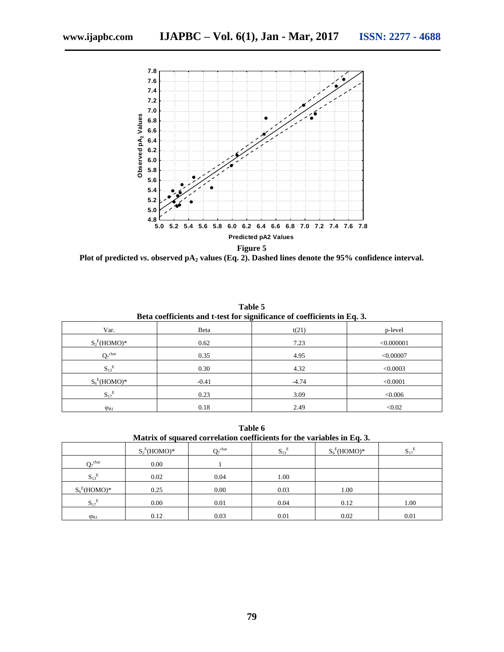

**Plot of predicted** *vs***. observed pA<sup>2</sup> values (Eq. 2). Dashed lines denote the 95% confidence interval.**

| Beta coefficients and t-test for significance of coefficients in Eq. 3. |         |         |            |  |  |  |
|-------------------------------------------------------------------------|---------|---------|------------|--|--|--|
| Var.                                                                    | Beta    | t(21)   | p-level    |  |  |  |
| $S_2^E(HOMO)^*$                                                         | 0.62    | 7.23    | < 0.000001 |  |  |  |
| $Q_7^{\text{char}}$                                                     | 0.35    | 4.95    | < 0.00007  |  |  |  |
| $S_{13}^E$                                                              | 0.30    | 4.32    | < 0.0003   |  |  |  |
| $S_6^E$ (HOMO)*                                                         | $-0.41$ | $-4.74$ | < 0.0001   |  |  |  |
| $S_{17}^E$                                                              | 0.23    | 3.09    | < 0.006    |  |  |  |
| $\varphi_{R1}$                                                          | 0.18    | 2.49    | < 0.02     |  |  |  |

**Table 5**

**Table 6 Matrix of squared correlation coefficients for the variables in Eq. 3.**

|                                | $S_2^E(HOMO)^*$ | $Q_7^{\text{char}}$ | $\mathbf{S_{13}}^{\mathrm{E}}$ | $S_6^E(HOMO)^*$ | $\mathbf{S_{17}}^{\mathrm{E}}$ |
|--------------------------------|-----------------|---------------------|--------------------------------|-----------------|--------------------------------|
| $Q_7^{\text{char}}$            | 0.00            |                     |                                |                 |                                |
| $S_{13}^E$                     | 0.02            | 0.04                | 1.00                           |                 |                                |
| $S_6^E$ (HOMO)*                | 0.25            | 0.00                | 0.03                           | 1.00            |                                |
| $\mathbf{S_{17}}^{\mathrm{E}}$ | 0.00            | 0.01                | 0.04                           | 0.12            | 1.00                           |
| $\varphi_{R1}$                 | 0.12            | 0.03                | 0.01                           | 0.02            | 0.01                           |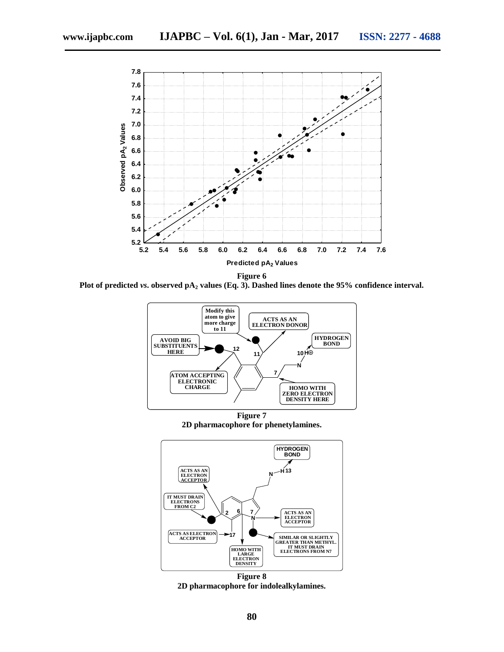

**Plot of predicted** *vs***. observed pA<sup>2</sup> values (Eq. 3). Dashed lines denote the 95% confidence interval.**



**2D pharmacophore for phenetylamines.**



**Figure 8 2D pharmacophore for indolealkylamines.**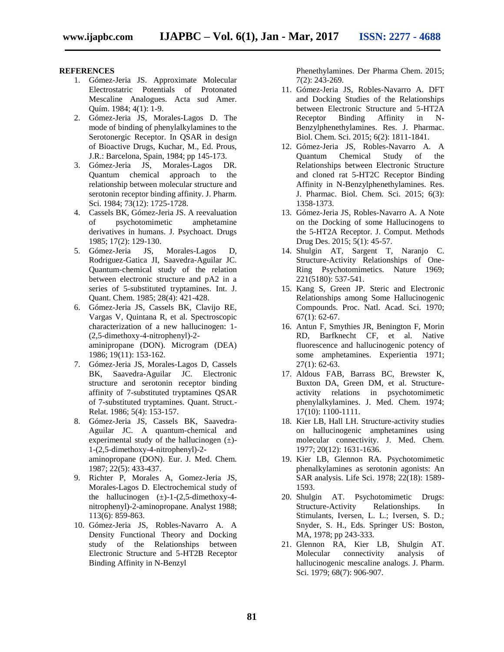#### **REFERENCES**

- 1. Gómez-Jeria JS. Approximate Molecular Electrostatric Potentials of Protonated Mescaline Analogues. Acta sud Amer. Quím. 1984; 4(1): 1-9.
- 2. Gómez-Jeria JS, Morales-Lagos D. The mode of binding of phenylalkylamines to the Serotonergic Receptor. In QSAR in design of Bioactive Drugs, Kuchar, M., Ed. Prous, J.R.: Barcelona, Spain, 1984; pp 145-173.
- 3. Gómez-Jeria JS, Morales-Lagos DR. Quantum chemical approach to the relationship between molecular structure and serotonin receptor binding affinity. J. Pharm. Sci. 1984; 73(12): 1725-1728.
- 4. Cassels BK, Gómez-Jeria JS. A reevaluation of psychotomimetic amphetamine derivatives in humans. J. Psychoact. Drugs 1985; 17(2): 129-130.
- 5. Gómez-Jeria JS, Morales-Lagos D, Rodriguez-Gatica JI, Saavedra-Aguilar JC. Quantum-chemical study of the relation between electronic structure and pA2 in a series of 5-substituted tryptamines. Int. J. Quant. Chem. 1985; 28(4): 421-428.
- 6. Gómez-Jeria JS, Cassels BK, Clavijo RE, Vargas V, Quintana R, et al. Spectroscopic characterization of a new hallucinogen: 1- (2,5-dimethoxy-4-nitrophenyl)-2 aminipropane (DON). Microgram (DEA)

1986; 19(11): 153-162. 7. Gómez-Jeria JS, Morales-Lagos D, Cassels BK, Saavedra-Aguilar JC. Electronic structure and serotonin receptor binding

- affinity of 7-substituted tryptamines QSAR of 7-substituted tryptamines. Quant. Struct.- Relat. 1986; 5(4): 153-157.
- 8. Gómez-Jeria JS, Cassels BK, Saavedra-Aguilar JC. A quantum-chemical and experimental study of the hallucinogen  $(\pm)$ -1-(2,5-dimethoxy-4-nitrophenyl)-2 aminopropane (DON). Eur. J. Med. Chem. 1987; 22(5): 433-437.
- 9. Richter P, Morales A, Gomez-Jeria JS, Morales-Lagos D. Electrochemical study of the hallucinogen  $(\pm)$ -1-(2,5-dimethoxy-4nitrophenyl)-2-aminopropane. Analyst 1988; 113(6): 859-863.
- 10. Gómez-Jeria JS, Robles-Navarro A. A Density Functional Theory and Docking study of the Relationships between Electronic Structure and 5-HT2B Receptor Binding Affinity in N-Benzyl

Phenethylamines. Der Pharma Chem. 2015; 7(2): 243-269.

- 11. Gómez-Jeria JS, Robles-Navarro A. DFT and Docking Studies of the Relationships between Electronic Structure and 5-HT2A<br>Receptor Binding Affinity in N-Receptor Binding Affinity in N-Benzylphenethylamines. Res. J. Pharmac. Biol. Chem. Sci. 2015; 6(2): 1811-1841.
- 12. Gómez-Jeria JS, Robles-Navarro A. A Quantum Chemical Study of the Relationships between Electronic Structure and cloned rat 5-HT2C Receptor Binding Affinity in N-Benzylphenethylamines. Res. J. Pharmac. Biol. Chem. Sci. 2015; 6(3): 1358-1373.
- 13. Gómez-Jeria JS, Robles-Navarro A. A Note on the Docking of some Hallucinogens to the 5-HT2A Receptor. J. Comput. Methods Drug Des. 2015; 5(1): 45-57.
- 14. Shulgin AT, Sargent T, Naranjo C. Structure-Activity Relationships of One-Ring Psychotomimetics. Nature 1969; 221(5180): 537-541.
- 15. Kang S, Green JP. Steric and Electronic Relationships among Some Hallucinogenic Compounds. Proc. Natl. Acad. Sci. 1970; 67(1): 62-67.
- 16. Antun F, Smythies JR, Benington F, Morin RD, Barfknecht CF, et al. Native fluorescence and hallucinogenic potency of some amphetamines. Experientia 1971;  $27(1): 62-63.$
- 17. Aldous FAB, Barrass BC, Brewster K, Buxton DA, Green DM, et al. Structureactivity relations in psychotomimetic phenylalkylamines. J. Med. Chem. 1974; 17(10): 1100-1111.
- 18. Kier LB, Hall LH. Structure-activity studies on hallucinogenic amphetamines using molecular connectivity. J. Med. Chem. 1977; 20(12): 1631-1636.
- 19. Kier LB, Glennon RA. Psychotomimetic phenalkylamines as serotonin agonists: An SAR analysis. Life Sci. 1978; 22(18): 1589- 1593.
- 20. Shulgin AT. Psychotomimetic Drugs: Structure-Activity Relationships. In Stimulants, Iversen, L. L.; Iversen, S. D.; Snyder, S. H., Eds. Springer US: Boston, MA, 1978; pp 243-333.
- 21. Glennon RA, Kier LB, Shulgin AT. Molecular connectivity analysis of hallucinogenic mescaline analogs. J. Pharm. Sci. 1979; 68(7): 906-907.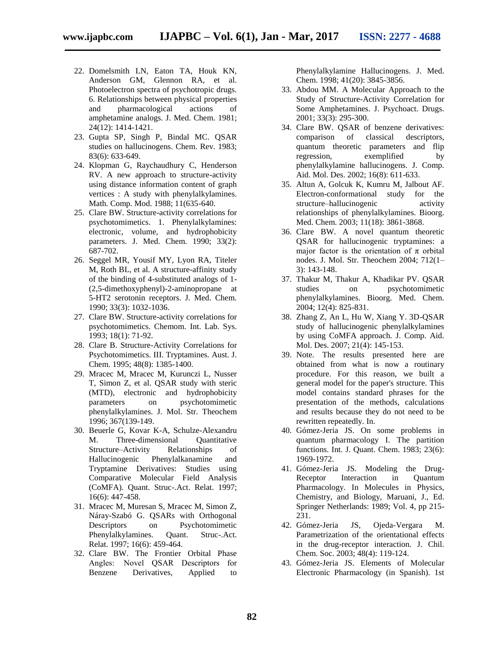- 22. Domelsmith LN, Eaton TA, Houk KN, Anderson GM, Glennon RA, et al. Photoelectron spectra of psychotropic drugs. 6. Relationships between physical properties and pharmacological actions of amphetamine analogs. J. Med. Chem. 1981; 24(12): 1414-1421.
- 23. Gupta SP, Singh P, Bindal MC. QSAR studies on hallucinogens. Chem. Rev. 1983; 83(6): 633-649.
- 24. Klopman G, Raychaudhury C, Henderson RV. A new approach to structure-activity using distance information content of graph vertices : A study with phenylalkylamines. Math. Comp. Mod. 1988; 11(635-640.
- 25. Clare BW. Structure-activity correlations for psychotomimetics. 1. Phenylalkylamines: electronic, volume, and hydrophobicity parameters. J. Med. Chem. 1990; 33(2): 687-702.
- 26. Seggel MR, Yousif MY, Lyon RA, Titeler M, Roth BL, et al. A structure-affinity study of the binding of 4-substituted analogs of 1- (2,5-dimethoxyphenyl)-2-aminopropane at 5-HT2 serotonin receptors. J. Med. Chem. 1990; 33(3): 1032-1036.
- 27. Clare BW. Structure-activity correlations for psychotomimetics. Chemom. Int. Lab. Sys. 1993; 18(1): 71-92.
- 28. Clare B. Structure-Activity Correlations for Psychotomimetics. III. Tryptamines. Aust. J. Chem. 1995; 48(8): 1385-1400.
- 29. Mracec M, Mracec M, Kurunczi L, Nusser T, Simon Z, et al. QSAR study with steric (MTD), electronic and hydrophobicity parameters on psychotomimetic phenylalkylamines. J. Mol. Str. Theochem 1996; 367(139-149.
- 30. Beuerle G, Kovar K-A, Schulze-Alexandru M. Three-dimensional Quantitative Structure–Activity Relationships of Hallucinogenic Phenylalkanamine and Tryptamine Derivatives: Studies using Comparative Molecular Field Analysis (CoMFA). Quant. Struc-.Act. Relat. 1997; 16(6): 447-458.
- 31. Mracec M, Muresan S, Mracec M, Simon Z, Náray-Szabó G. QSARs with Orthogonal Descriptors on Psychotomimetic Phenylalkylamines. Quant. Struc-.Act. Relat. 1997; 16(6): 459-464.
- 32. Clare BW. The Frontier Orbital Phase Angles:  Novel QSAR Descriptors for Benzene Derivatives, Applied to

Phenylalkylamine Hallucinogens. J. Med. Chem. 1998; 41(20): 3845-3856.

- 33. Abdou MM. A Molecular Approach to the Study of Structure-Activity Correlation for Some Amphetamines. J. Psychoact. Drugs. 2001; 33(3): 295-300.
- 34. Clare BW. QSAR of benzene derivatives: comparison of classical descriptors, quantum theoretic parameters and flip regression, exemplified by phenylalkylamine hallucinogens. J. Comp. Aid. Mol. Des. 2002; 16(8): 611-633.
- 35. Altun A, Golcuk K, Kumru M, Jalbout AF. Electron-conformational study for the structure–hallucinogenic activity relationships of phenylalkylamines. Bioorg. Med. Chem. 2003; 11(18): 3861-3868.
- 36. Clare BW. A novel quantum theoretic QSAR for hallucinogenic tryptamines: a major factor is the orientation of  $\pi$  orbital nodes. J. Mol. Str. Theochem 2004; 712(1– 3): 143-148.
- 37. Thakur M, Thakur A, Khadikar PV. QSAR studies on psychotomimetic phenylalkylamines. Bioorg. Med. Chem. 2004; 12(4): 825-831.
- 38. Zhang Z, An L, Hu W, Xiang Y. 3D-QSAR study of hallucinogenic phenylalkylamines by using CoMFA approach. J. Comp. Aid. Mol. Des. 2007; 21(4): 145-153.
- 39. Note. The results presented here are obtained from what is now a routinary procedure. For this reason, we built a general model for the paper's structure. This model contains standard phrases for the presentation of the methods, calculations and results because they do not need to be rewritten repeatedly. In.
- 40. Gómez-Jeria JS. On some problems in quantum pharmacology I. The partition functions. Int. J. Quant. Chem. 1983; 23(6): 1969-1972.
- 41. Gómez-Jeria JS. Modeling the Drug-Receptor Interaction in Quantum Pharmacology. In Molecules in Physics, Chemistry, and Biology, Maruani, J., Ed. Springer Netherlands: 1989; Vol. 4, pp 215- 231.
- 42. Gómez-Jeria JS, Ojeda-Vergara M. Parametrization of the orientational effects in the drug-receptor interaction. J. Chil. Chem. Soc. 2003; 48(4): 119-124.
- 43. Gómez-Jeria JS. Elements of Molecular Electronic Pharmacology (in Spanish). 1st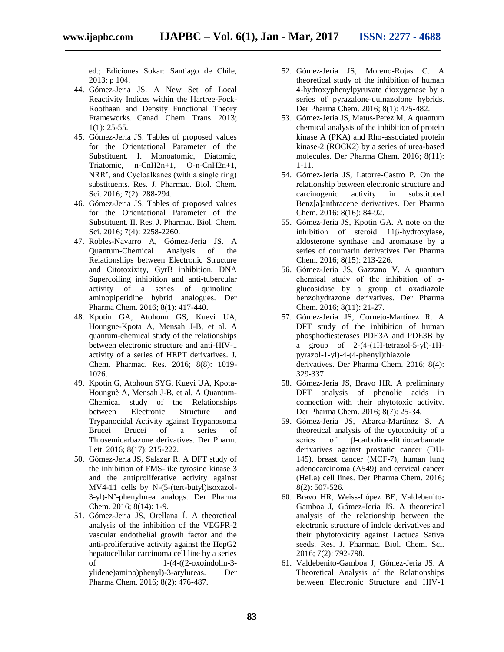ed.; Ediciones Sokar: Santiago de Chile, 2013; p 104.

- 44. Gómez-Jeria JS. A New Set of Local Reactivity Indices within the Hartree-Fock-Roothaan and Density Functional Theory Frameworks. Canad. Chem. Trans. 2013;  $1(1)$ : 25-55.
- 45. Gómez-Jeria JS. Tables of proposed values for the Orientational Parameter of the Substituent. I. Monoatomic, Diatomic, Triatomic, n-CnH2n+1, O-n-CnH2n+1, NRR', and Cycloalkanes (with a single ring) substituents. Res. J. Pharmac. Biol. Chem. Sci. 2016; 7(2): 288-294.
- 46. Gómez-Jeria JS. Tables of proposed values for the Orientational Parameter of the Substituent. II. Res. J. Pharmac. Biol. Chem. Sci. 2016; 7(4): 2258-2260.
- 47. Robles-Navarro A, Gómez-Jeria JS. A Quantum-Chemical Analysis of the Relationships between Electronic Structure and Citotoxixity, GyrB inhibition, DNA Supercoiling inhibition and anti-tubercular activity of a series of quinoline– aminopiperidine hybrid analogues. Der Pharma Chem. 2016; 8(1): 417-440.
- 48. Kpotin GA, Atohoun GS, Kuevi UA, Houngue-Kpota A, Mensah J-B, et al. A quantum-chemical study of the relationships between electronic structure and anti-HIV-1 activity of a series of HEPT derivatives. J. Chem. Pharmac. Res. 2016; 8(8): 1019- 1026.
- 49. Kpotin G, Atohoun SYG, Kuevi UA, Kpota-Hounguè A, Mensah J-B, et al. A Quantum-Chemical study of the Relationships between Electronic Structure and Trypanocidal Activity against Trypanosoma Brucei Brucei of a series of Thiosemicarbazone derivatives. Der Pharm. Lett. 2016; 8(17): 215-222.
- 50. Gómez-Jeria JS, Salazar R. A DFT study of the inhibition of FMS-like tyrosine kinase 3 and the antiproliferative activity against MV4-11 cells by N-(5-(tert-butyl)isoxazol-3-yl)-N'-phenylurea analogs. Der Pharma Chem. 2016; 8(14): 1-9.
- 51. Gómez-Jeria JS, Orellana Í. A theoretical analysis of the inhibition of the VEGFR-2 vascular endothelial growth factor and the anti-proliferative activity against the HepG2 hepatocellular carcinoma cell line by a series of 1-(4-((2-oxoindolin-3 ylidene)amino)phenyl)-3-arylureas. Der Pharma Chem. 2016; 8(2): 476-487.
- 52. Gómez-Jeria JS, Moreno-Rojas C. A theoretical study of the inhibition of human 4-hydroxyphenylpyruvate dioxygenase by a series of pyrazalone-quinazolone hybrids. Der Pharma Chem. 2016; 8(1): 475-482.
- 53. Gómez-Jeria JS, Matus-Perez M. A quantum chemical analysis of the inhibition of protein kinase A (PKA) and Rho-associated protein kinase-2 (ROCK2) by a series of urea-based molecules. Der Pharma Chem. 2016; 8(11): 1-11.
- 54. Gómez-Jeria JS, Latorre-Castro P. On the relationship between electronic structure and carcinogenic activity in substituted Benz[a]anthracene derivatives. Der Pharma Chem. 2016; 8(16): 84-92.
- 55. Gómez-Jeria JS, Kpotin GA. A note on the inhibition of steroid 11β-hydroxylase, aldosterone synthase and aromatase by a series of coumarin derivatives Der Pharma Chem. 2016; 8(15): 213-226.
- 56. Gómez-Jeria JS, Gazzano V. A quantum chemical study of the inhibition of  $\alpha$ glucosidase by a group of oxadiazole benzohydrazone derivatives. Der Pharma Chem. 2016; 8(11): 21-27.
- 57. Gómez-Jeria JS, Cornejo-Martínez R. A DFT study of the inhibition of human phosphodiesterases PDE3A and PDE3B by a group of 2-(4-(1H-tetrazol-5-yl)-1Hpyrazol-1-yl)-4-(4-phenyl)thiazole derivatives. Der Pharma Chem. 2016; 8(4): 329-337.
- 58. Gómez-Jeria JS, Bravo HR. A preliminary DFT analysis of phenolic acids in connection with their phytotoxic activity. Der Pharma Chem. 2016; 8(7): 25-34.
- 59. Gómez-Jeria JS, Abarca-Martínez S. A theoretical analysis of the cytotoxicity of a series of β-carboline-dithiocarbamate derivatives against prostatic cancer (DU-145), breast cancer (MCF-7), human lung adenocarcinoma (A549) and cervical cancer (HeLa) cell lines. Der Pharma Chem. 2016; 8(2): 507-526.
- 60. Bravo HR, Weiss-López BE, Valdebenito-Gamboa J, Gómez-Jeria JS. A theoretical analysis of the relationship between the electronic structure of indole derivatives and their phytotoxicity against Lactuca Sativa seeds. Res. J. Pharmac. Biol. Chem. Sci. 2016; 7(2): 792-798.
- 61. Valdebenito-Gamboa J, Gómez-Jeria JS. A Theoretical Analysis of the Relationships between Electronic Structure and HIV-1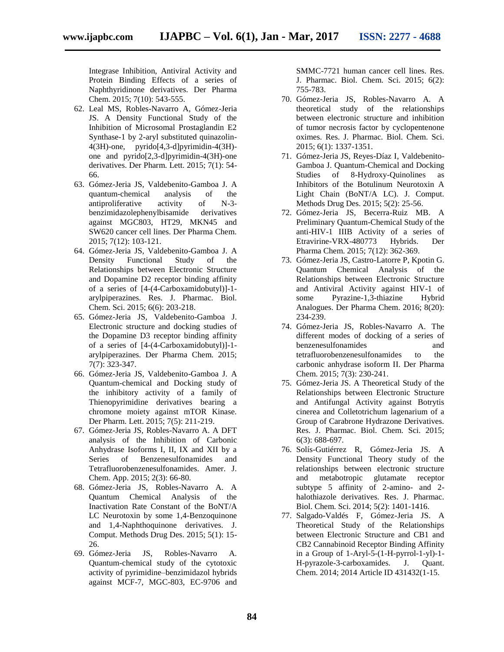Integrase Inhibition, Antiviral Activity and Protein Binding Effects of a series of Naphthyridinone derivatives. Der Pharma Chem. 2015; 7(10): 543-555.

- 62. Leal MS, Robles-Navarro A, Gómez-Jeria JS. A Density Functional Study of the Inhibition of Microsomal Prostaglandin E2 Synthase-1 by 2-aryl substituted quinazolin-4(3H)-one, pyrido[4,3-d]pyrimidin-4(3H) one and pyrido[2,3-d]pyrimidin-4(3H)-one derivatives. Der Pharm. Lett. 2015; 7(1): 54- 66.
- 63. Gómez-Jeria JS, Valdebenito-Gamboa J. A quantum-chemical analysis of the<br>antiproliferative activity of N-3antiproliferative activity of N-3 benzimidazolephenylbisamide derivatives against MGC803, HT29, MKN45 and SW620 cancer cell lines. Der Pharma Chem. 2015; 7(12): 103-121.
- 64. Gómez-Jeria JS, Valdebenito-Gamboa J. A Density Functional Study of the Relationships between Electronic Structure and Dopamine D2 receptor binding affinity of a series of [4-(4-Carboxamidobutyl)]-1 arylpiperazines. Res. J. Pharmac. Biol. Chem. Sci. 2015; 6(6): 203-218.
- 65. Gómez-Jeria JS, Valdebenito-Gamboa J. Electronic structure and docking studies of the Dopamine D3 receptor binding affinity of a series of [4-(4-Carboxamidobutyl)]-1 arylpiperazines. Der Pharma Chem. 2015; 7(7): 323-347.
- 66. Gómez-Jeria JS, Valdebenito-Gamboa J. A Quantum-chemical and Docking study of the inhibitory activity of a family of Thienopyrimidine derivatives bearing a chromone moiety against mTOR Kinase. Der Pharm. Lett. 2015; 7(5): 211-219.
- 67. Gómez-Jeria JS, Robles-Navarro A. A DFT analysis of the Inhibition of Carbonic Anhydrase Isoforms I, II, IX and XII by a Series of Benzenesulfonamides and Tetrafluorobenzenesulfonamides. Amer. J. Chem. App. 2015; 2(3): 66-80.
- 68. Gómez-Jeria JS, Robles-Navarro A. A Quantum Chemical Analysis of the Inactivation Rate Constant of the BoNT/A LC Neurotoxin by some 1,4-Benzoquinone and 1,4-Naphthoquinone derivatives. J. Comput. Methods Drug Des. 2015; 5(1): 15- 26.
- 69. Gómez-Jeria JS, Robles-Navarro A. Quantum-chemical study of the cytotoxic activity of pyrimidine–benzimidazol hybrids against MCF-7, MGC-803, EC-9706 and

SMMC-7721 human cancer cell lines. Res. J. Pharmac. Biol. Chem. Sci. 2015; 6(2): 755-783.

- 70. Gómez-Jeria JS, Robles-Navarro A. A theoretical study of the relationships between electronic structure and inhibition of tumor necrosis factor by cyclopentenone oximes. Res. J. Pharmac. Biol. Chem. Sci. 2015; 6(1): 1337-1351.
- 71. Gómez-Jeria JS, Reyes-Díaz I, Valdebenito-Gamboa J. Quantum-Chemical and Docking Studies of 8-Hydroxy-Quinolines as Inhibitors of the Botulinum Neurotoxin A Light Chain (BoNT/A LC). J. Comput. Methods Drug Des. 2015; 5(2): 25-56.
- 72. Gómez-Jeria JS, Becerra-Ruiz MB. A Preliminary Quantum-Chemical Study of the anti-HIV-1 IIIB Activity of a series of Etravirine-VRX-480773 Hybrids. Der Pharma Chem. 2015; 7(12): 362-369.
- 73. Gómez-Jeria JS, Castro-Latorre P, Kpotin G. Quantum Chemical Analysis of the Relationships between Electronic Structure and Antiviral Activity against HIV-1 of some Pyrazine-1,3-thiazine Hybrid Analogues. Der Pharma Chem. 2016; 8(20): 234-239.
- 74. Gómez-Jeria JS, Robles-Navarro A. The different modes of docking of a series of benzenesulfonamides and tetrafluorobenzenesulfonamides to the carbonic anhydrase isoform II. Der Pharma Chem. 2015; 7(3): 230-241.
- 75. Gómez-Jeria JS. A Theoretical Study of the Relationships between Electronic Structure and Antifungal Activity against Botrytis cinerea and Colletotrichum lagenarium of a Group of Carabrone Hydrazone Derivatives. Res. J. Pharmac. Biol. Chem. Sci. 2015; 6(3): 688-697.
- 76. Solís-Gutiérrez R, Gómez-Jeria JS. A Density Functional Theory study of the relationships between electronic structure and metabotropic glutamate receptor subtype 5 affinity of 2-amino- and 2 halothiazole derivatives. Res. J. Pharmac. Biol. Chem. Sci. 2014; 5(2): 1401-1416.
- 77. Salgado-Valdés F, Gómez-Jeria JS. A Theoretical Study of the Relationships between Electronic Structure and CB1 and CB2 Cannabinoid Receptor Binding Affinity in a Group of 1-Aryl-5-(1-H-pyrrol-1-yl)-1- H-pyrazole-3-carboxamides. J. Quant. Chem. 2014; 2014 Article ID 431432(1-15.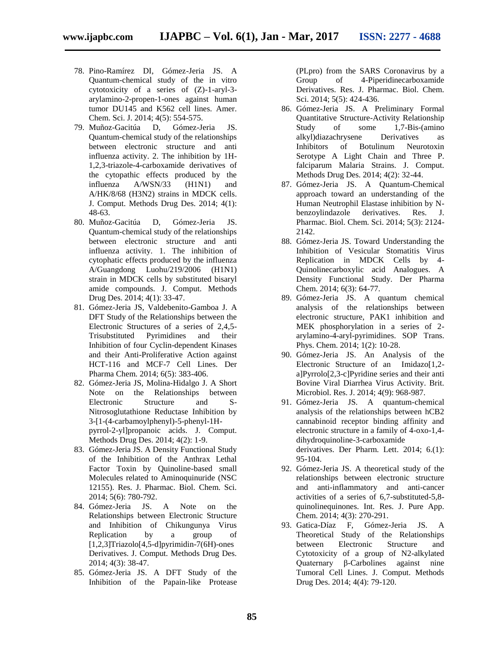- 78. Pino-Ramírez DI, Gómez-Jeria JS. A Quantum-chemical study of the in vitro cytotoxicity of a series of (Z)-1-aryl-3 arylamino-2-propen-1-ones against human tumor DU145 and K562 cell lines. Amer. Chem. Sci. J. 2014; 4(5): 554-575.
- 79. Muñoz-Gacitúa D, Gómez-Jeria JS. Quantum-chemical study of the relationships between electronic structure and anti influenza activity. 2. The inhibition by 1H-1,2,3-triazole-4-carboxamide derivatives of the cytopathic effects produced by the influenza A/WSN/33 (H1N1) and A/HK/8/68 (H3N2) strains in MDCK cells. J. Comput. Methods Drug Des. 2014; 4(1): 48-63.
- 80. Muñoz-Gacitúa D, Gómez-Jeria JS. Quantum-chemical study of the relationships between electronic structure and anti influenza activity. 1. The inhibition of cytophatic effects produced by the influenza A/Guangdong Luohu/219/2006 (H1N1) strain in MDCK cells by substituted bisaryl amide compounds. J. Comput. Methods Drug Des. 2014; 4(1): 33-47.
- 81. Gómez-Jeria JS, Valdebenito-Gamboa J. A DFT Study of the Relationships between the Electronic Structures of a series of 2,4,5- Trisubstituted Pyrimidines and their Inhibition of four Cyclin-dependent Kinases and their Anti-Proliferative Action against HCT-116 and MCF-7 Cell Lines. Der Pharma Chem. 2014; 6(5): 383-406.
- 82. Gómez-Jeria JS, Molina-Hidalgo J. A Short Note on the Relationships between Electronic Structure and S-Nitrosoglutathione Reductase Inhibition by 3-[1-(4-carbamoylphenyl)-5-phenyl-1Hpyrrol-2-yl]propanoic acids. J. Comput. Methods Drug Des. 2014; 4(2): 1-9.
- 83. Gómez-Jeria JS. A Density Functional Study of the Inhibition of the Anthrax Lethal Factor Toxin by Quinoline-based small Molecules related to Aminoquinuride (NSC 12155). Res. J. Pharmac. Biol. Chem. Sci. 2014; 5(6): 780-792.
- 84. Gómez-Jeria JS. A Note on the Relationships between Electronic Structure and Inhibition of Chikungunya Virus Replication by a group of [1,2,3]Triazolo[4,5-d]pyrimidin-7(6H)-ones Derivatives. J. Comput. Methods Drug Des. 2014; 4(3): 38-47.
- 85. Gómez-Jeria JS. A DFT Study of the Inhibition of the Papain-like Protease

(PLpro) from the SARS Coronavirus by a Group of 4-Piperidinecarboxamide Derivatives. Res. J. Pharmac. Biol. Chem. Sci. 2014; 5(5): 424-436.

- 86. Gómez-Jeria JS. A Preliminary Formal Quantitative Structure-Activity Relationship Study of some 1,7-Bis-(amino alkyl)diazachrysene Derivatives as Inhibitors of Botulinum Neurotoxin Serotype A Light Chain and Three P. falciparum Malaria Strains. J. Comput. Methods Drug Des. 2014; 4(2): 32-44.
- 87. Gómez-Jeria JS. A Quantum-Chemical approach toward an understanding of the Human Neutrophil Elastase inhibition by Nbenzoylindazole derivatives. Res. J. Pharmac. Biol. Chem. Sci. 2014; 5(3): 2124- 2142.
- 88. Gómez-Jeria JS. Toward Understanding the Inhibition of Vesicular Stomatitis Virus Replication in MDCK Cells by 4- Quinolinecarboxylic acid Analogues. A Density Functional Study. Der Pharma Chem. 2014; 6(3): 64-77.
- 89. Gómez-Jeria JS. A quantum chemical analysis of the relationships between electronic structure, PAK1 inhibition and MEK phosphorylation in a series of 2 arylamino-4-aryl-pyrimidines. SOP Trans. Phys. Chem. 2014; 1(2): 10-28.
- 90. Gómez-Jeria JS. An Analysis of the Electronic Structure of an Imidazo[1,2a]Pyrrolo[2,3-c]Pyridine series and their anti Bovine Viral Diarrhea Virus Activity. Brit. Microbiol. Res. J. 2014; 4(9): 968-987.
- 91. Gómez-Jeria JS. A quantum-chemical analysis of the relationships between hCB2 cannabinoid receptor binding affinity and electronic structure in a family of 4-oxo-1,4 dihydroquinoline-3-carboxamide derivatives. Der Pharm. Lett. 2014; 6.(1): 95-104.
- 92. Gómez-Jeria JS. A theoretical study of the relationships between electronic structure and anti-inflammatory and anti-cancer activities of a series of 6,7-substituted-5,8 quinolinequinones. Int. Res. J. Pure App. Chem. 2014; 4(3): 270-291.
- 93. Gatica-Díaz F, Gómez-Jeria JS. A Theoretical Study of the Relationships between Electronic Structure and Cytotoxicity of a group of N2-alkylated Quaternary β-Carbolines against nine Tumoral Cell Lines. J. Comput. Methods Drug Des. 2014; 4(4): 79-120.